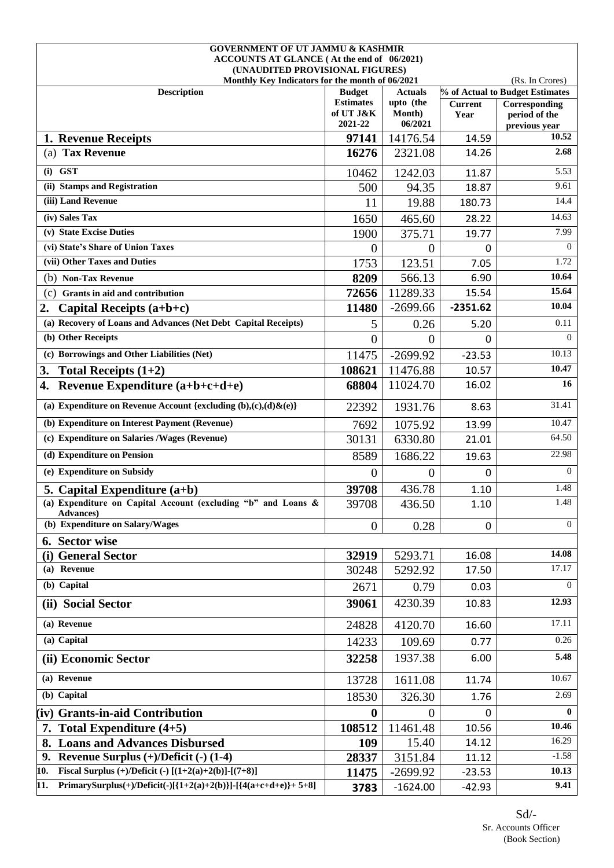| <b>GOVERNMENT OF UT JAMMU &amp; KASHMIR</b>                                   |                               |                             |                        |                                 |
|-------------------------------------------------------------------------------|-------------------------------|-----------------------------|------------------------|---------------------------------|
| ACCOUNTS AT GLANCE (At the end of 06/2021)<br>(UNAUDITED PROVISIONAL FIGURES) |                               |                             |                        |                                 |
| Monthly Key Indicators for the month of 06/2021                               |                               |                             |                        | (Rs. In Crores)                 |
| <b>Description</b>                                                            | <b>Budget</b>                 | <b>Actuals</b>              |                        | % of Actual to Budget Estimates |
|                                                                               | <b>Estimates</b><br>of UT J&K | upto (the<br><b>Month</b> ) | <b>Current</b><br>Year | Corresponding<br>period of the  |
|                                                                               | 2021-22                       | 06/2021                     |                        | previous year                   |
| 1. Revenue Receipts                                                           | 97141                         | 14176.54                    | 14.59                  | 10.52                           |
| (a) Tax Revenue                                                               | 16276                         | 2321.08                     | 14.26                  | 2.68                            |
| $(i)$ GST                                                                     | 10462                         | 1242.03                     | 11.87                  | $\overline{5.53}$               |
| (ii) Stamps and Registration                                                  | 500                           | 94.35                       | 18.87                  | 9.61                            |
| (iii) Land Revenue                                                            | 11                            | 19.88                       | 180.73                 | 14.4                            |
| (iv) Sales Tax                                                                | 1650                          | 465.60                      | 28.22                  | 14.63                           |
| (v) State Excise Duties                                                       | 1900                          | 375.71                      | 19.77                  | 7.99                            |
| (vi) State's Share of Union Taxes                                             | $\Omega$                      | $\theta$                    | 0                      | $\Omega$                        |
| (vii) Other Taxes and Duties                                                  | 1753                          | 123.51                      | 7.05                   | 1.72                            |
| (b) Non-Tax Revenue                                                           | 8209                          | 566.13                      | 6.90                   | 10.64                           |
| (c)<br>Grants in aid and contribution                                         | 72656                         | 11289.33                    | 15.54                  | 15.64                           |
| 2.<br>Capital Receipts $(a+b+c)$                                              | 11480                         | $-2699.66$                  | $-2351.62$             | 10.04                           |
| (a) Recovery of Loans and Advances (Net Debt Capital Receipts)                | 5                             | 0.26                        | 5.20                   | 0.11                            |
| (b) Other Receipts                                                            | $\overline{0}$                | $\overline{0}$              | 0                      | $\theta$                        |
| (c) Borrowings and Other Liabilities (Net)                                    | 11475                         | $-2699.92$                  | $-23.53$               | 10.13                           |
| 3.<br>Total Receipts $(1+2)$                                                  | 108621                        | 11476.88                    | 10.57                  | 10.47                           |
| Revenue Expenditure (a+b+c+d+e)<br>4.                                         | 68804                         | 11024.70                    | 16.02                  | 16                              |
| (a) Expenditure on Revenue Account {excluding $(b),(c),(d)\& (e)\}$           | 22392                         | 1931.76                     | 8.63                   | 31.41                           |
| (b) Expenditure on Interest Payment (Revenue)                                 | 7692                          | 1075.92                     | 13.99                  | 10.47                           |
| (c) Expenditure on Salaries / Wages (Revenue)                                 | 30131                         | 6330.80                     | 21.01                  | 64.50                           |
| (d) Expenditure on Pension                                                    | 8589                          | 1686.22                     | 19.63                  | 22.98                           |
| (e) Expenditure on Subsidy                                                    | $\boldsymbol{0}$              | $\overline{0}$              | 0                      | $\Omega$                        |
| 5. Capital Expenditure $(a+b)$                                                | 39708                         | 436.78                      | 1.10                   | 1.48                            |
| (a) Expenditure on Capital Account (excluding "b" and Loans &<br>Advances)    | 39708                         | 436.50                      | 1.10                   | 1.48                            |
| (b) Expenditure on Salary/Wages                                               | $\overline{0}$                | 0.28                        | 0                      | $\Omega$                        |
| 6. Sector wise                                                                |                               |                             |                        |                                 |
| (i) General Sector                                                            | 32919                         | 5293.71                     | 16.08                  | 14.08                           |
| (a) Revenue                                                                   | 30248                         | 5292.92                     | 17.50                  | 17.17                           |
| (b) Capital                                                                   | 2671                          | 0.79                        | 0.03                   | $\theta$                        |
| (ii) Social Sector                                                            | 39061                         | 4230.39                     | 10.83                  | 12.93                           |
| (a) Revenue                                                                   | 24828                         | 4120.70                     | 16.60                  | 17.11                           |
| (a) Capital                                                                   | 14233                         | 109.69                      | 0.77                   | 0.26                            |
| (ii) Economic Sector                                                          | 32258                         | 1937.38                     | 6.00                   | 5.48                            |
| (a) Revenue                                                                   | 13728                         | 1611.08                     | 11.74                  | 10.67                           |
| (b) Capital                                                                   | 18530                         | 326.30                      | 1.76                   | 2.69                            |
| (iv) Grants-in-aid Contribution                                               | $\mathbf 0$                   | $\theta$                    | 0                      | $\mathbf{0}$                    |
| 7. Total Expenditure $(4+5)$                                                  | 108512                        | 11461.48                    | 10.56                  | 10.46                           |
| <b>Loans and Advances Disbursed</b>                                           | 109                           | 15.40                       | 14.12                  | 16.29                           |
| Revenue Surplus $(+)/$ Deficit $(-)$ (1-4)<br>9.                              | 28337                         | 3151.84                     | 11.12                  | $-1.58$                         |
| Fiscal Surplus (+)/Deficit (-) $[(1+2(a)+2(b)]-(7+8)]$<br>10.                 | 11475                         | $-2699.92$                  | $-23.53$               | 10.13                           |
| PrimarySurplus(+)/Deficit(-)[{1+2(a)+2(b)}]-[{4(a+c+d+e)}+ 5+8]<br>11.        | 3783                          | $-1624.00$                  | $-42.93$               | 9.41                            |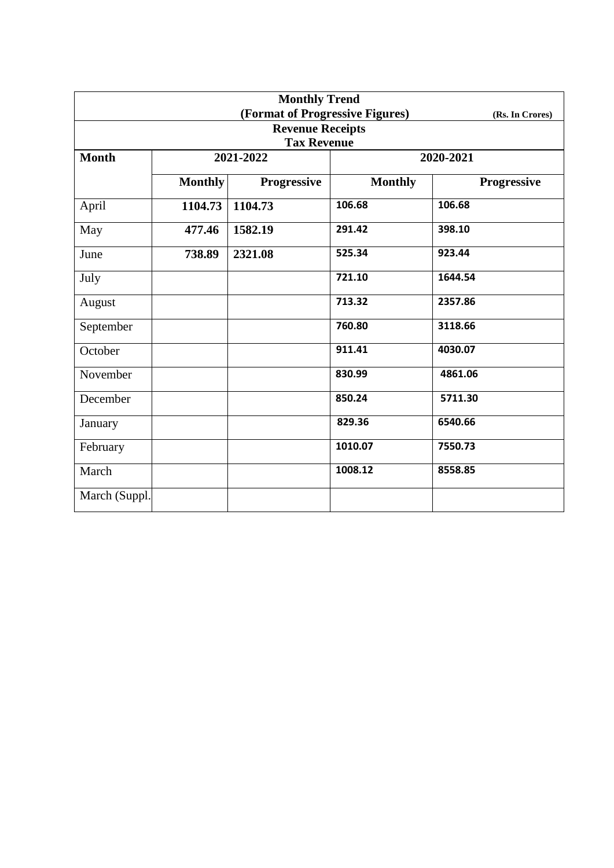| <b>Monthly Trend</b>            |                |                                 |                |                    |  |  |  |
|---------------------------------|----------------|---------------------------------|----------------|--------------------|--|--|--|
|                                 |                | (Format of Progressive Figures) |                | (Rs. In Crores)    |  |  |  |
|                                 |                | <b>Revenue Receipts</b>         |                |                    |  |  |  |
| <b>Tax Revenue</b><br>2021-2022 |                |                                 |                |                    |  |  |  |
| <b>Month</b>                    |                |                                 |                | 2020-2021          |  |  |  |
|                                 | <b>Monthly</b> | Progressive                     | <b>Monthly</b> | <b>Progressive</b> |  |  |  |
| April                           | 1104.73        | 1104.73                         | 106.68         | 106.68             |  |  |  |
| May                             | 477.46         | 1582.19                         | 291.42         | 398.10             |  |  |  |
| June                            | 738.89         | 2321.08                         | 525.34         | 923.44             |  |  |  |
| July                            |                |                                 | 721.10         | 1644.54            |  |  |  |
| August                          |                |                                 | 713.32         | 2357.86            |  |  |  |
| September                       |                |                                 | 760.80         | 3118.66            |  |  |  |
| October                         |                |                                 | 911.41         | 4030.07            |  |  |  |
| November                        |                |                                 | 830.99         | 4861.06            |  |  |  |
| December                        |                |                                 | 850.24         | 5711.30            |  |  |  |
| January                         |                |                                 | 829.36         | 6540.66            |  |  |  |
| February                        |                |                                 | 1010.07        | 7550.73            |  |  |  |
| March                           |                |                                 | 1008.12        | 8558.85            |  |  |  |
| March (Suppl.)                  |                |                                 |                |                    |  |  |  |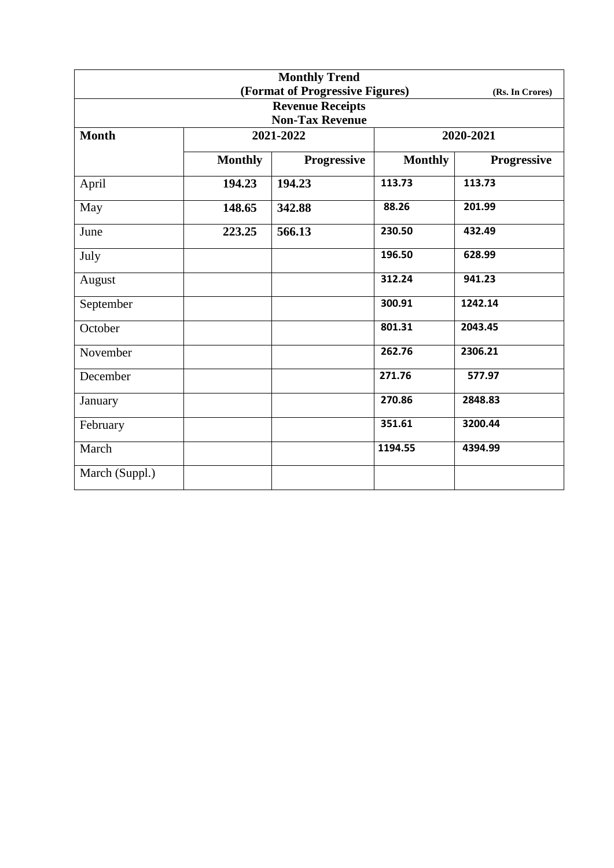| <b>Monthly Trend</b>   |                |                                 |                |                 |  |  |
|------------------------|----------------|---------------------------------|----------------|-----------------|--|--|
|                        |                | (Format of Progressive Figures) |                | (Rs. In Crores) |  |  |
|                        |                | <b>Revenue Receipts</b>         |                |                 |  |  |
| <b>Non-Tax Revenue</b> |                |                                 |                |                 |  |  |
| <b>Month</b>           |                | 2021-2022                       |                | 2020-2021       |  |  |
|                        | <b>Monthly</b> | <b>Progressive</b>              | <b>Monthly</b> | Progressive     |  |  |
| April                  | 194.23         | 194.23                          | 113.73         | 113.73          |  |  |
| May                    | 148.65         | 342.88                          | 88.26          | 201.99          |  |  |
| June                   | 223.25         | 566.13                          | 230.50         | 432.49          |  |  |
| July                   |                |                                 | 196.50         | 628.99          |  |  |
| August                 |                |                                 | 312.24         | 941.23          |  |  |
| September              |                |                                 | 300.91         | 1242.14         |  |  |
| October                |                |                                 | 801.31         | 2043.45         |  |  |
| November               |                |                                 | 262.76         | 2306.21         |  |  |
| December               |                |                                 | 271.76         | 577.97          |  |  |
| January                |                |                                 | 270.86         | 2848.83         |  |  |
| February               |                |                                 | 351.61         | 3200.44         |  |  |
| March                  |                |                                 | 1194.55        | 4394.99         |  |  |
| March (Suppl.)         |                |                                 |                |                 |  |  |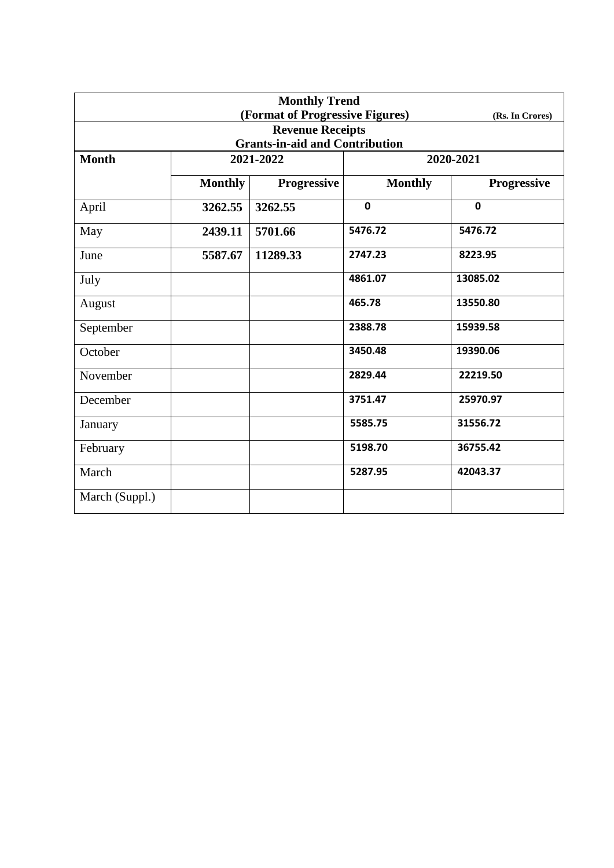| <b>Monthly Trend</b> |                |                                       |                |                 |
|----------------------|----------------|---------------------------------------|----------------|-----------------|
|                      |                | (Format of Progressive Figures)       |                | (Rs. In Crores) |
|                      |                | <b>Revenue Receipts</b>               |                |                 |
|                      |                | <b>Grants-in-aid and Contribution</b> |                |                 |
| <b>Month</b>         |                | 2021-2022                             |                | 2020-2021       |
|                      | <b>Monthly</b> | <b>Progressive</b>                    | <b>Monthly</b> | Progressive     |
| April                | 3262.55        | 3262.55                               | $\mathbf 0$    | $\mathbf{0}$    |
| May                  | 2439.11        | 5701.66                               | 5476.72        | 5476.72         |
| June                 | 5587.67        | 11289.33                              | 2747.23        | 8223.95         |
| July                 |                |                                       | 4861.07        | 13085.02        |
| August               |                |                                       | 465.78         | 13550.80        |
| September            |                |                                       | 2388.78        | 15939.58        |
| October              |                |                                       | 3450.48        | 19390.06        |
| November             |                |                                       | 2829.44        | 22219.50        |
| December             |                |                                       | 3751.47        | 25970.97        |
| January              |                |                                       | 5585.75        | 31556.72        |
| February             |                |                                       | 5198.70        | 36755.42        |
| March                |                |                                       | 5287.95        | 42043.37        |
| March (Suppl.)       |                |                                       |                |                 |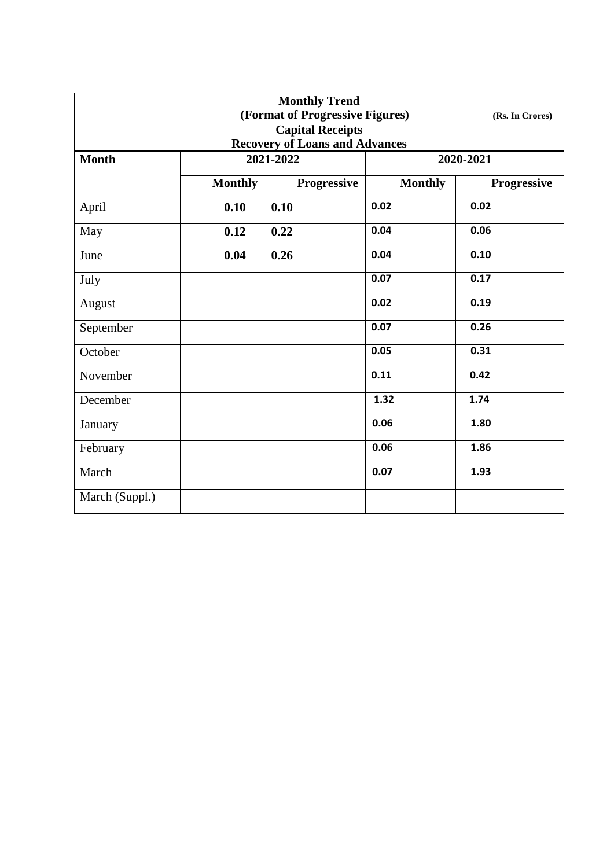| <b>Monthly Trend</b> |                |                                       |                |                 |
|----------------------|----------------|---------------------------------------|----------------|-----------------|
|                      |                | (Format of Progressive Figures)       |                | (Rs. In Crores) |
|                      |                | <b>Capital Receipts</b>               |                |                 |
|                      |                | <b>Recovery of Loans and Advances</b> |                |                 |
| <b>Month</b>         | 2021-2022      |                                       | 2020-2021      |                 |
|                      | <b>Monthly</b> | <b>Progressive</b>                    | <b>Monthly</b> | Progressive     |
| April                | 0.10           | 0.10                                  | 0.02           | 0.02            |
| May                  | 0.12           | 0.22                                  | 0.04           | 0.06            |
| June                 | 0.04           | 0.26                                  | 0.04           | 0.10            |
| July                 |                |                                       | 0.07           | 0.17            |
| August               |                |                                       | 0.02           | 0.19            |
| September            |                |                                       | 0.07           | 0.26            |
| October              |                |                                       | 0.05           | 0.31            |
| November             |                |                                       | 0.11           | 0.42            |
| December             |                |                                       | 1.32           | 1.74            |
| January              |                |                                       | 0.06           | 1.80            |
| February             |                |                                       | 0.06           | 1.86            |
| March                |                |                                       | 0.07           | 1.93            |
| March (Suppl.)       |                |                                       |                |                 |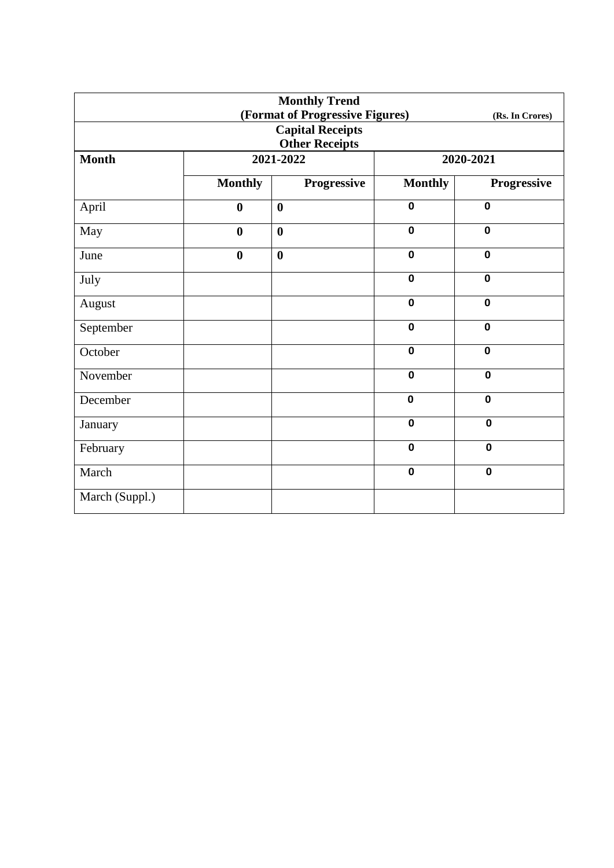| <b>Monthly Trend</b> |                       |                                 |                |                 |  |  |
|----------------------|-----------------------|---------------------------------|----------------|-----------------|--|--|
|                      |                       | (Format of Progressive Figures) |                | (Rs. In Crores) |  |  |
|                      |                       | <b>Capital Receipts</b>         |                |                 |  |  |
|                      | <b>Other Receipts</b> |                                 |                |                 |  |  |
| <b>Month</b>         | 2021-2022             |                                 |                | 2020-2021       |  |  |
|                      | <b>Monthly</b>        | <b>Progressive</b>              | <b>Monthly</b> | Progressive     |  |  |
| April                | $\boldsymbol{0}$      | $\boldsymbol{0}$                | $\mathbf 0$    | $\mathbf 0$     |  |  |
| May                  | $\bf{0}$              | $\boldsymbol{0}$                | $\mathbf 0$    | $\mathbf 0$     |  |  |
| June                 | $\bf{0}$              | $\boldsymbol{0}$                | $\mathbf 0$    | $\mathbf 0$     |  |  |
| July                 |                       |                                 | $\mathbf 0$    | $\mathbf 0$     |  |  |
| August               |                       |                                 | $\mathbf 0$    | $\mathbf 0$     |  |  |
| September            |                       |                                 | $\mathbf 0$    | $\mathbf 0$     |  |  |
| October              |                       |                                 | $\mathbf 0$    | $\mathbf 0$     |  |  |
| November             |                       |                                 | $\mathbf 0$    | $\mathbf 0$     |  |  |
| December             |                       |                                 | $\mathbf 0$    | $\mathbf 0$     |  |  |
| January              |                       |                                 | $\mathbf 0$    | $\mathbf 0$     |  |  |
| February             |                       |                                 | $\mathbf 0$    | $\mathbf 0$     |  |  |
| March                |                       |                                 | $\mathbf 0$    | $\mathbf 0$     |  |  |
| March (Suppl.)       |                       |                                 |                |                 |  |  |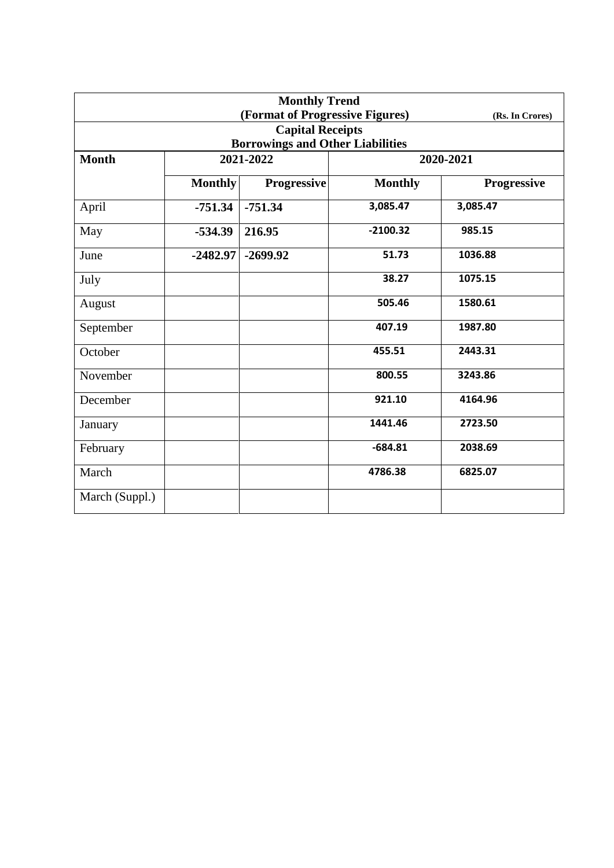| <b>Monthly Trend</b> |                |                                         |                |                 |  |
|----------------------|----------------|-----------------------------------------|----------------|-----------------|--|
|                      |                | (Format of Progressive Figures)         |                | (Rs. In Crores) |  |
|                      |                | <b>Capital Receipts</b>                 |                |                 |  |
|                      |                | <b>Borrowings and Other Liabilities</b> |                |                 |  |
| <b>Month</b>         | 2021-2022      |                                         | 2020-2021      |                 |  |
|                      | <b>Monthly</b> | <b>Progressive</b>                      | <b>Monthly</b> | Progressive     |  |
| April                | $-751.34$      | $-751.34$                               | 3,085.47       | 3,085.47        |  |
| May                  | $-534.39$      | 216.95                                  | $-2100.32$     | 985.15          |  |
| June                 | $-2482.97$     | $-2699.92$                              | 51.73          | 1036.88         |  |
| July                 |                |                                         | 38.27          | 1075.15         |  |
| August               |                |                                         | 505.46         | 1580.61         |  |
| September            |                |                                         | 407.19         | 1987.80         |  |
| October              |                |                                         | 455.51         | 2443.31         |  |
| November             |                |                                         | 800.55         | 3243.86         |  |
| December             |                |                                         | 921.10         | 4164.96         |  |
| January              |                |                                         | 1441.46        | 2723.50         |  |
| February             |                |                                         | $-684.81$      | 2038.69         |  |
| March                |                |                                         | 4786.38        | 6825.07         |  |
| March (Suppl.)       |                |                                         |                |                 |  |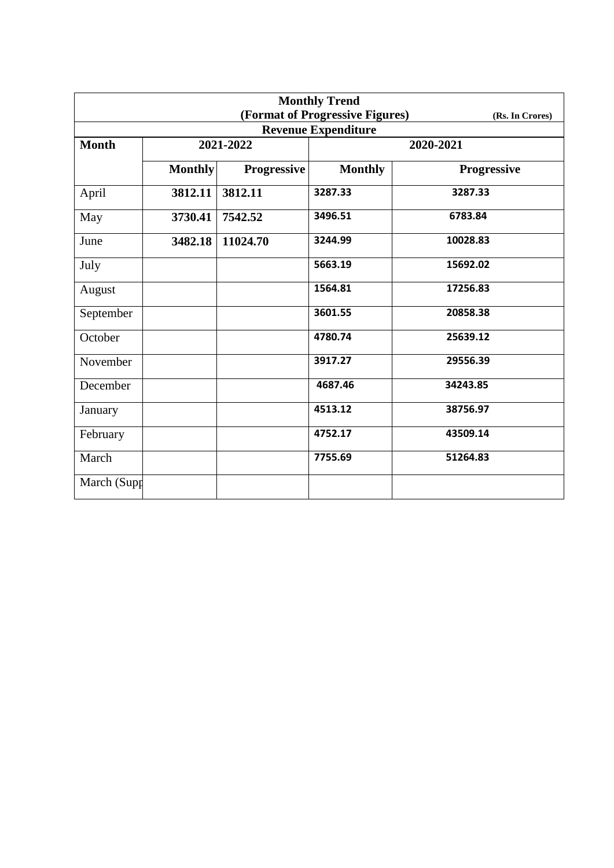| <b>Monthly Trend</b> |                |                    |                                 |                    |  |
|----------------------|----------------|--------------------|---------------------------------|--------------------|--|
|                      |                |                    | (Format of Progressive Figures) | (Rs. In Crores)    |  |
|                      |                |                    | <b>Revenue Expenditure</b>      |                    |  |
| <b>Month</b>         |                | 2021-2022          | 2020-2021                       |                    |  |
|                      | <b>Monthly</b> | <b>Progressive</b> | <b>Monthly</b>                  | <b>Progressive</b> |  |
| April                | 3812.11        | 3812.11            | 3287.33                         | 3287.33            |  |
| May                  | 3730.41        | 7542.52            | 3496.51                         | 6783.84            |  |
| June                 | 3482.18        | 11024.70           | 3244.99                         | 10028.83           |  |
| July                 |                |                    | 5663.19                         | 15692.02           |  |
| August               |                |                    | 1564.81                         | 17256.83           |  |
| September            |                |                    | 3601.55                         | 20858.38           |  |
| October              |                |                    | 4780.74                         | 25639.12           |  |
| November             |                |                    | 3917.27                         | 29556.39           |  |
| December             |                |                    | 4687.46                         | 34243.85           |  |
| January              |                |                    | 4513.12                         | 38756.97           |  |
| February             |                |                    | 4752.17                         | 43509.14           |  |
| March                |                |                    | 7755.69                         | 51264.83           |  |
| March (Supp          |                |                    |                                 |                    |  |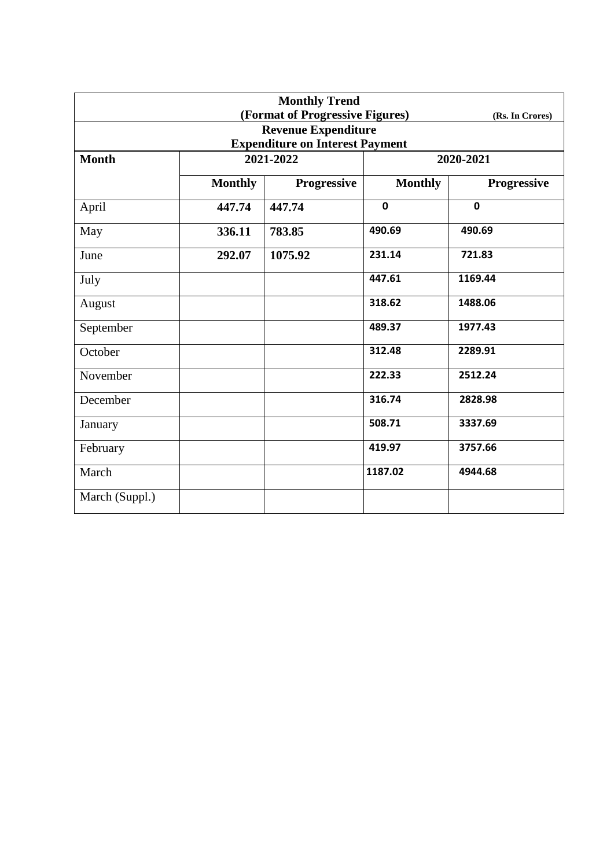| <b>Monthly Trend</b> |                |                                        |                |                 |
|----------------------|----------------|----------------------------------------|----------------|-----------------|
|                      |                | (Format of Progressive Figures)        |                | (Rs. In Crores) |
|                      |                | <b>Revenue Expenditure</b>             |                |                 |
|                      |                | <b>Expenditure on Interest Payment</b> |                |                 |
| <b>Month</b>         | 2021-2022      |                                        |                | 2020-2021       |
|                      | <b>Monthly</b> | <b>Progressive</b>                     | <b>Monthly</b> | Progressive     |
| April                | 447.74         | 447.74                                 | $\mathbf 0$    | $\mathbf 0$     |
| May                  | 336.11         | 783.85                                 | 490.69         | 490.69          |
| June                 | 292.07         | 1075.92                                | 231.14         | 721.83          |
| July                 |                |                                        | 447.61         | 1169.44         |
| August               |                |                                        | 318.62         | 1488.06         |
| September            |                |                                        | 489.37         | 1977.43         |
| October              |                |                                        | 312.48         | 2289.91         |
| November             |                |                                        | 222.33         | 2512.24         |
| December             |                |                                        | 316.74         | 2828.98         |
| January              |                |                                        | 508.71         | 3337.69         |
| February             |                |                                        | 419.97         | 3757.66         |
| March                |                |                                        | 1187.02        | 4944.68         |
| March (Suppl.)       |                |                                        |                |                 |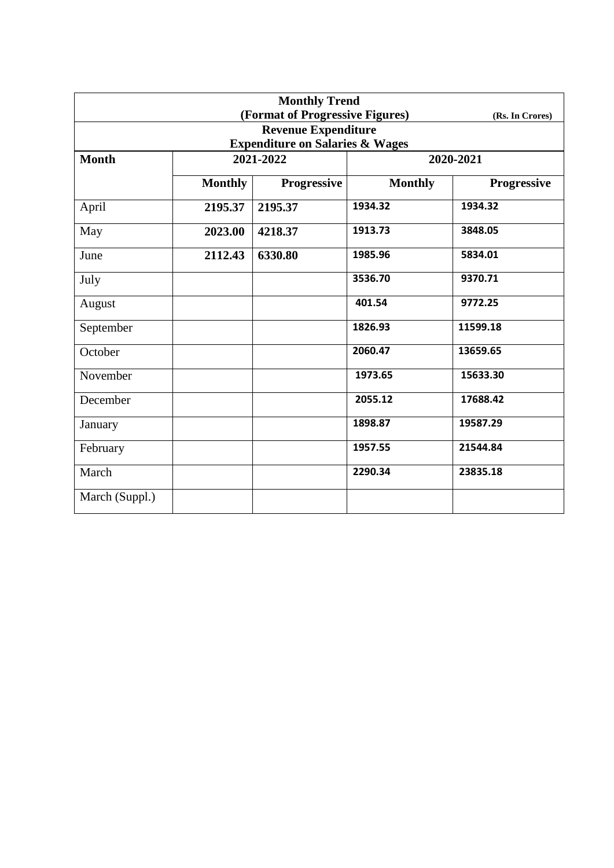| <b>Monthly Trend</b> |                |                                            |                |                    |  |
|----------------------|----------------|--------------------------------------------|----------------|--------------------|--|
|                      |                | (Format of Progressive Figures)            |                | (Rs. In Crores)    |  |
|                      |                | <b>Revenue Expenditure</b>                 |                |                    |  |
|                      |                | <b>Expenditure on Salaries &amp; Wages</b> |                |                    |  |
| <b>Month</b>         |                | 2021-2022                                  | 2020-2021      |                    |  |
|                      | <b>Monthly</b> | <b>Progressive</b>                         | <b>Monthly</b> | <b>Progressive</b> |  |
| April                | 2195.37        | 2195.37                                    | 1934.32        | 1934.32            |  |
| May                  | 2023.00        | 4218.37                                    | 1913.73        | 3848.05            |  |
| June                 | 2112.43        | 6330.80                                    | 1985.96        | 5834.01            |  |
| July                 |                |                                            | 3536.70        | 9370.71            |  |
| August               |                |                                            | 401.54         | 9772.25            |  |
| September            |                |                                            | 1826.93        | 11599.18           |  |
| October              |                |                                            | 2060.47        | 13659.65           |  |
| November             |                |                                            | 1973.65        | 15633.30           |  |
| December             |                |                                            | 2055.12        | 17688.42           |  |
| January              |                |                                            | 1898.87        | 19587.29           |  |
| February             |                |                                            | 1957.55        | 21544.84           |  |
| March                |                |                                            | 2290.34        | 23835.18           |  |
| March (Suppl.)       |                |                                            |                |                    |  |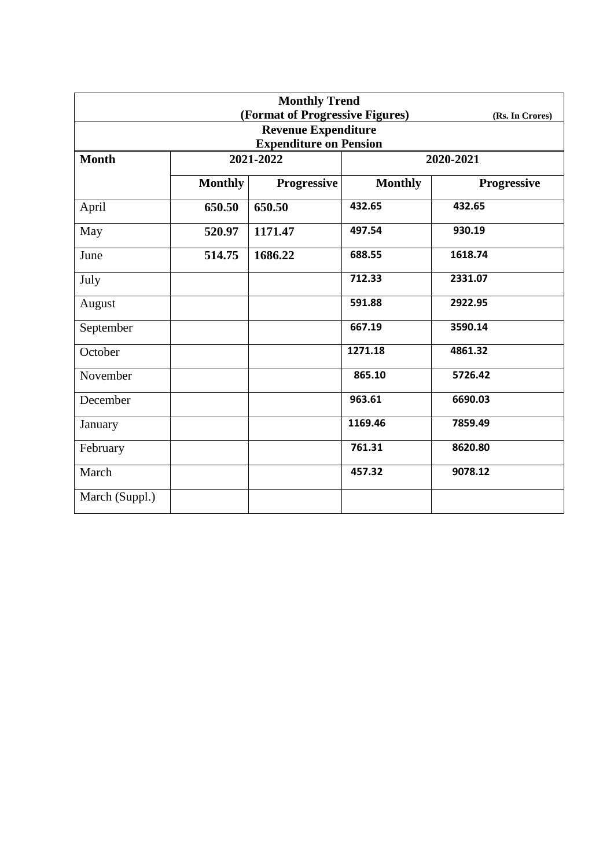| <b>Monthly Trend</b> |                |                                 |                |                 |
|----------------------|----------------|---------------------------------|----------------|-----------------|
|                      |                | (Format of Progressive Figures) |                | (Rs. In Crores) |
|                      |                | <b>Revenue Expenditure</b>      |                |                 |
|                      |                | <b>Expenditure on Pension</b>   |                |                 |
| <b>Month</b>         | 2021-2022      |                                 |                | 2020-2021       |
|                      | <b>Monthly</b> | <b>Progressive</b>              | <b>Monthly</b> | Progressive     |
| April                | 650.50         | 650.50                          | 432.65         | 432.65          |
| May                  | 520.97         | 1171.47                         | 497.54         | 930.19          |
| June                 | 514.75         | 1686.22                         | 688.55         | 1618.74         |
| July                 |                |                                 | 712.33         | 2331.07         |
| August               |                |                                 | 591.88         | 2922.95         |
| September            |                |                                 | 667.19         | 3590.14         |
| October              |                |                                 | 1271.18        | 4861.32         |
| November             |                |                                 | 865.10         | 5726.42         |
| December             |                |                                 | 963.61         | 6690.03         |
| January              |                |                                 | 1169.46        | 7859.49         |
| February             |                |                                 | 761.31         | 8620.80         |
| March                |                |                                 | 457.32         | 9078.12         |
| March (Suppl.)       |                |                                 |                |                 |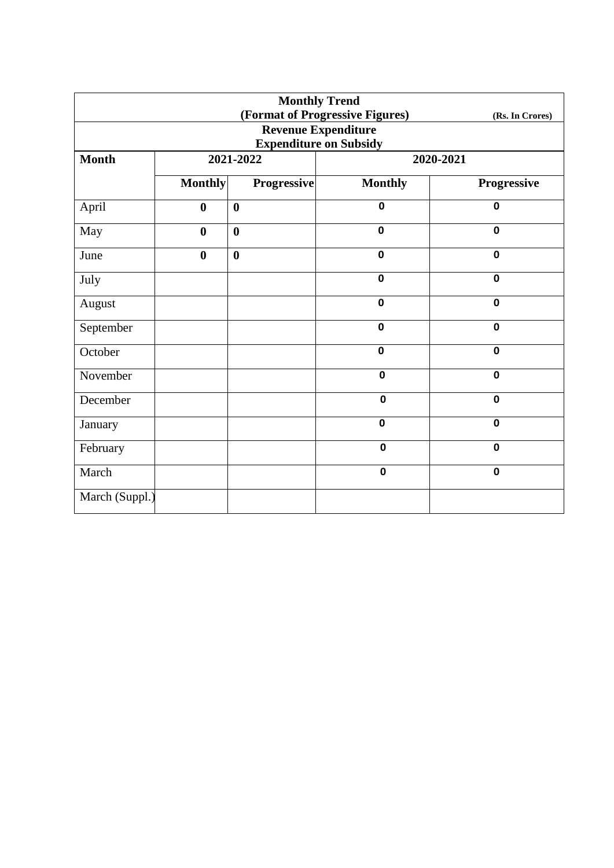| <b>Monthly Trend</b>          |                  |                    |                                 |                 |  |
|-------------------------------|------------------|--------------------|---------------------------------|-----------------|--|
|                               |                  |                    | (Format of Progressive Figures) | (Rs. In Crores) |  |
|                               |                  |                    | <b>Revenue Expenditure</b>      |                 |  |
| <b>Expenditure on Subsidy</b> |                  |                    |                                 |                 |  |
| <b>Month</b>                  |                  | 2021-2022          |                                 | 2020-2021       |  |
|                               | <b>Monthly</b>   | <b>Progressive</b> | <b>Monthly</b>                  | Progressive     |  |
| April                         | $\boldsymbol{0}$ | $\boldsymbol{0}$   | $\mathbf 0$                     | $\mathbf 0$     |  |
| May                           | $\bf{0}$         | $\boldsymbol{0}$   | $\mathbf 0$                     | $\mathbf 0$     |  |
| June                          | $\bf{0}$         | $\boldsymbol{0}$   | $\mathbf 0$                     | $\mathbf 0$     |  |
| July                          |                  |                    | $\mathbf 0$                     | $\mathbf 0$     |  |
| August                        |                  |                    | $\mathbf 0$                     | $\mathbf 0$     |  |
| September                     |                  |                    | $\mathbf 0$                     | $\mathbf 0$     |  |
| October                       |                  |                    | $\mathbf 0$                     | $\mathbf 0$     |  |
| November                      |                  |                    | $\mathbf 0$                     | $\mathbf 0$     |  |
| December                      |                  |                    | $\mathbf 0$                     | $\mathbf 0$     |  |
| January                       |                  |                    | $\mathbf 0$                     | $\mathbf 0$     |  |
| February                      |                  |                    | $\mathbf 0$                     | $\mathbf 0$     |  |
| March                         |                  |                    | $\mathbf 0$                     | $\mathbf 0$     |  |
| March (Suppl.)                |                  |                    |                                 |                 |  |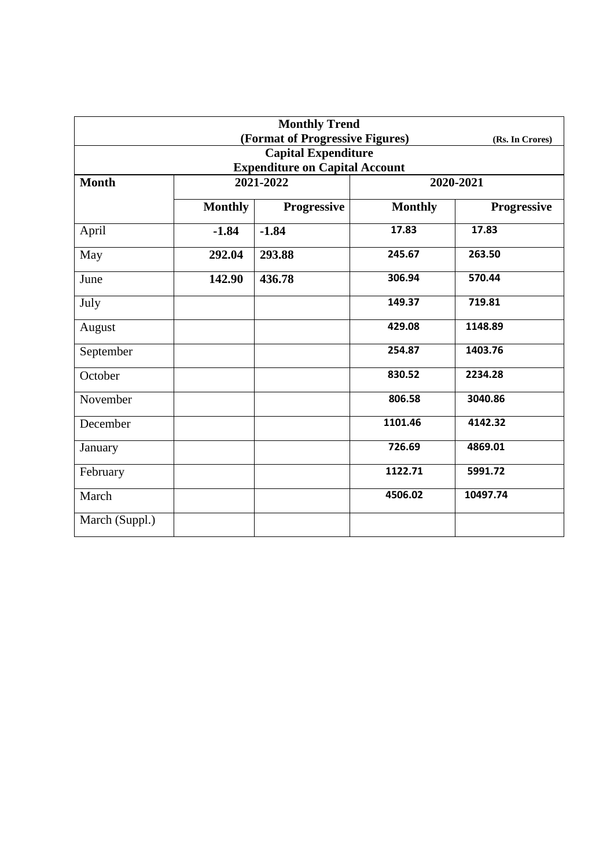|                                       |                | <b>Monthly Trend</b> |                |                    |  |  |
|---------------------------------------|----------------|----------------------|----------------|--------------------|--|--|
| (Format of Progressive Figures)       |                |                      |                | (Rs. In Crores)    |  |  |
| <b>Capital Expenditure</b>            |                |                      |                |                    |  |  |
| <b>Expenditure on Capital Account</b> |                |                      |                |                    |  |  |
| <b>Month</b>                          | 2021-2022      |                      | 2020-2021      |                    |  |  |
|                                       | <b>Monthly</b> | <b>Progressive</b>   | <b>Monthly</b> | <b>Progressive</b> |  |  |
| April                                 | $-1.84$        | $-1.84$              | 17.83          | 17.83              |  |  |
| May                                   | 292.04         | 293.88               | 245.67         | 263.50             |  |  |
| June                                  | 142.90         | 436.78               | 306.94         | 570.44             |  |  |
| July                                  |                |                      | 149.37         | 719.81             |  |  |
| August                                |                |                      | 429.08         | 1148.89            |  |  |
| September                             |                |                      | 254.87         | 1403.76            |  |  |
| October                               |                |                      | 830.52         | 2234.28            |  |  |
| November                              |                |                      | 806.58         | 3040.86            |  |  |
| December                              |                |                      | 1101.46        | 4142.32            |  |  |
| January                               |                |                      | 726.69         | 4869.01            |  |  |
| February                              |                |                      | 1122.71        | 5991.72            |  |  |
| March                                 |                |                      | 4506.02        | 10497.74           |  |  |
| March (Suppl.)                        |                |                      |                |                    |  |  |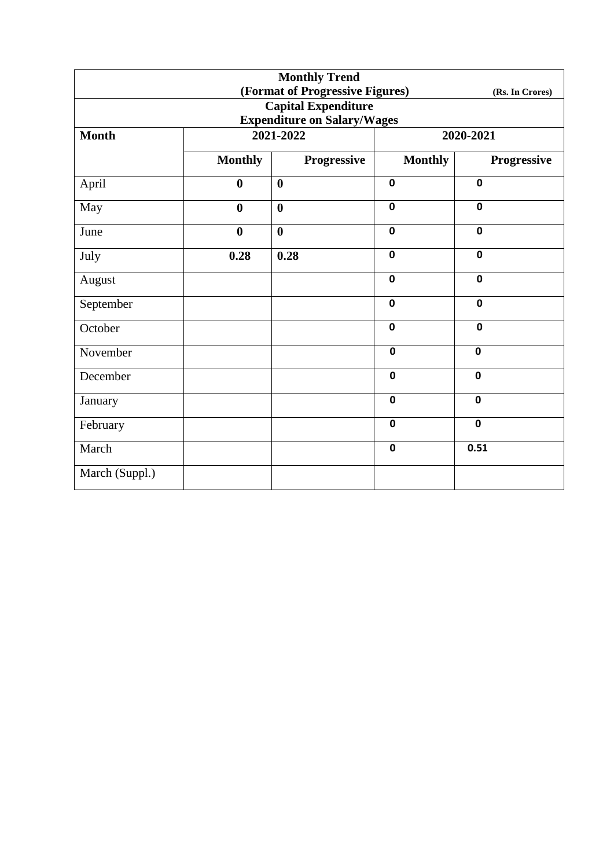|                                                    |                  | <b>Monthly Trend</b> |                |             |  |
|----------------------------------------------------|------------------|----------------------|----------------|-------------|--|
| (Format of Progressive Figures)<br>(Rs. In Crores) |                  |                      |                |             |  |
| <b>Capital Expenditure</b>                         |                  |                      |                |             |  |
| <b>Expenditure on Salary/Wages</b>                 |                  |                      |                |             |  |
| <b>Month</b>                                       |                  | 2021-2022            | 2020-2021      |             |  |
|                                                    | <b>Monthly</b>   | Progressive          | <b>Monthly</b> | Progressive |  |
| April                                              | $\boldsymbol{0}$ | $\boldsymbol{0}$     | $\mathbf 0$    | $\mathbf 0$ |  |
| May                                                | $\bf{0}$         | $\boldsymbol{0}$     | $\mathbf 0$    | $\mathbf 0$ |  |
| June                                               | $\boldsymbol{0}$ | $\boldsymbol{0}$     | $\mathbf 0$    | $\mathbf 0$ |  |
| July                                               | 0.28             | 0.28                 | $\mathbf 0$    | $\mathbf 0$ |  |
| August                                             |                  |                      | $\mathbf 0$    | $\mathbf 0$ |  |
| September                                          |                  |                      | $\mathbf 0$    | $\mathbf 0$ |  |
| October                                            |                  |                      | $\mathbf 0$    | $\mathbf 0$ |  |
| November                                           |                  |                      | $\mathbf 0$    | $\mathbf 0$ |  |
| December                                           |                  |                      | $\mathbf 0$    | $\mathbf 0$ |  |
| January                                            |                  |                      | $\mathbf 0$    | $\mathbf 0$ |  |
| February                                           |                  |                      | $\mathbf 0$    | $\mathbf 0$ |  |
| March                                              |                  |                      | $\mathbf 0$    | 0.51        |  |
| March (Suppl.)                                     |                  |                      |                |             |  |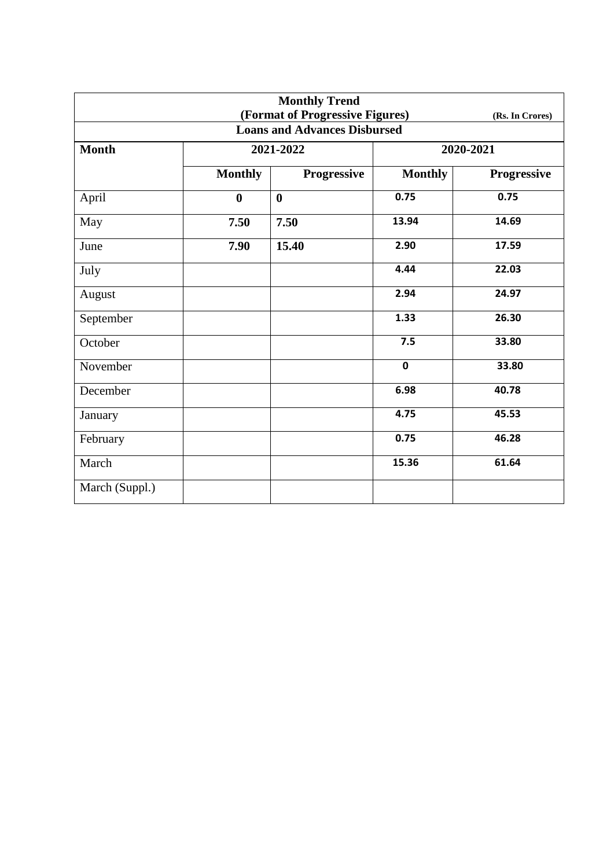| <b>Monthly Trend</b><br>(Format of Progressive Figures)<br>(Rs. In Crores) |                  |                    |                |                    |  |  |
|----------------------------------------------------------------------------|------------------|--------------------|----------------|--------------------|--|--|
| <b>Loans and Advances Disbursed</b>                                        |                  |                    |                |                    |  |  |
| <b>Month</b>                                                               |                  | 2021-2022          | 2020-2021      |                    |  |  |
|                                                                            | <b>Monthly</b>   | <b>Progressive</b> | <b>Monthly</b> | <b>Progressive</b> |  |  |
| April                                                                      | $\boldsymbol{0}$ | $\bf{0}$           | 0.75           | 0.75               |  |  |
| May                                                                        | 7.50             | 7.50               | 13.94          | 14.69              |  |  |
| June                                                                       | 7.90             | 15.40              | 2.90           | 17.59              |  |  |
| July                                                                       |                  |                    | 4.44           | 22.03              |  |  |
| August                                                                     |                  |                    | 2.94           | 24.97              |  |  |
| September                                                                  |                  |                    | 1.33           | 26.30              |  |  |
| October                                                                    |                  |                    | 7.5            | 33.80              |  |  |
| November                                                                   |                  |                    | $\mathbf 0$    | 33.80              |  |  |
| December                                                                   |                  |                    | 6.98           | 40.78              |  |  |
| January                                                                    |                  |                    | 4.75           | 45.53              |  |  |
| February                                                                   |                  |                    | 0.75           | 46.28              |  |  |
| March                                                                      |                  |                    | 15.36          | 61.64              |  |  |
| March (Suppl.)                                                             |                  |                    |                |                    |  |  |